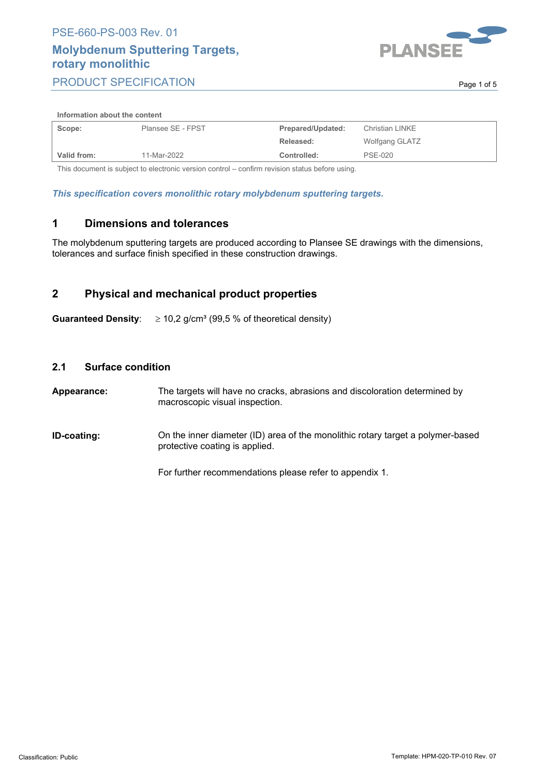## **Molybdenum Sputtering Targets, rotary monolithic** PRODUCT SPECIFICATION



. Page 1 of 5 and 5 and 7 and 7 and 7 and 7 and 7 and 7 and 7 and 7 and 7 and 7 and 7 and 7 and 7 and 7 and 7

#### **Information about the content**

| Scope:      | Plansee SE - FPST | Prepared/Updated: | Christian LINKE       |
|-------------|-------------------|-------------------|-----------------------|
|             |                   | Released:         | <b>Wolfgang GLATZ</b> |
| Valid from: | 11-Mar-2022       | Controlled:       | PSE-020               |

This document is subject to electronic version control – confirm revision status before using.

*This specification covers monolithic rotary molybdenum sputtering targets.*

### **1 Dimensions and tolerances**

The molybdenum sputtering targets are produced according to Plansee SE drawings with the dimensions, tolerances and surface finish specified in these construction drawings.

## **2 Physical and mechanical product properties**

**Guaranteed Density**:  $\geq 10.2$  g/cm<sup>3</sup> (99.5 % of theoretical density)

#### **2.1 Surface condition**

**Appearance:** The targets will have no cracks, abrasions and discoloration determined by macroscopic visual inspection.

**ID-coating:** On the inner diameter (ID) area of the monolithic rotary target a polymer-based protective coating is applied.

For further recommendations please refer to appendix 1.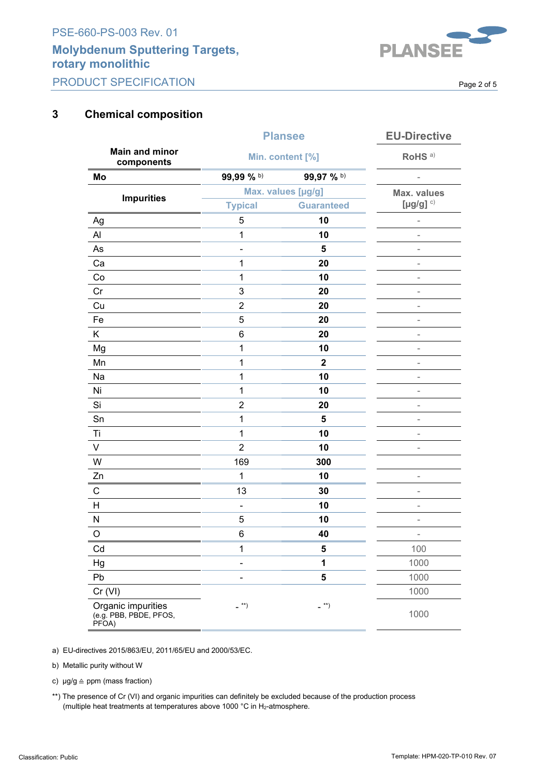## **Molybdenum Sputtering Targets, rotary monolithic** PRODUCT SPECIFICATION



. Page 2 of 5 . Page 2 of 5 . Page 2 of 5 . Page 2 of 5 . Page 2 .  $\sim$ 

## **3 Chemical composition**

|                                                       | <b>Plansee</b>                | <b>EU-Directive</b>           |                          |
|-------------------------------------------------------|-------------------------------|-------------------------------|--------------------------|
| <b>Main and minor</b><br>components                   | Min. content [%]              |                               | RoHS <sup>a)</sup>       |
| Mo                                                    | 99,99 % b)                    | 99,97 % b)                    |                          |
|                                                       | Max. values [µg/g]            |                               | <b>Max. values</b>       |
| <b>Impurities</b>                                     | <b>Typical</b>                | <b>Guaranteed</b>             | [ $\mu$ g/g] $c)$        |
| Ag                                                    | 5                             | 10                            |                          |
| Al                                                    | 1                             | 10                            |                          |
| As                                                    |                               | 5                             | $\overline{\phantom{0}}$ |
| Ca                                                    | 1                             | 20                            | $\overline{\phantom{m}}$ |
| Co                                                    | 1                             | 10                            | $\blacksquare$           |
| Cr                                                    | 3                             | 20                            |                          |
| Cu                                                    | $\overline{2}$                | 20                            | ۰                        |
| Fe                                                    | 5                             | 20                            | $\overline{\phantom{0}}$ |
| K.                                                    | 6                             | 20                            | ۰                        |
| Mg                                                    | 1                             | 10                            | $\overline{\phantom{m}}$ |
| Mn                                                    | 1                             | $\mathbf{2}$                  | $\overline{\phantom{m}}$ |
| Na                                                    | 1                             | 10                            | $\overline{\phantom{a}}$ |
| Ni                                                    | $\mathbf 1$                   | 10                            |                          |
| Si                                                    | $\overline{2}$                | 20                            | ۰                        |
| Sn                                                    | $\mathbf 1$                   | 5                             | $\overline{\phantom{0}}$ |
| Τi                                                    | $\mathbf{1}$                  | 10                            | ٠                        |
| V                                                     | $\overline{2}$                | 10                            | $\overline{\phantom{0}}$ |
| W                                                     | 169                           | 300                           |                          |
| Zn                                                    | $\mathbf{1}$                  | 10                            | $\bar{ }$                |
| $\mathsf C$                                           | 13                            | 30                            | $\overline{a}$           |
| Н                                                     | -                             | 10                            | ۰                        |
| N                                                     | 5                             | 10                            | $\overline{a}$           |
| O                                                     | 6                             | 40                            | -                        |
| Cd                                                    | 1                             | 5                             | 100                      |
| Hg                                                    |                               | 1                             | 1000                     |
| Pb                                                    |                               | 5                             | 1000                     |
| Cr (VI)                                               | $\overline{\phantom{a}}^{**}$ | $\overline{\phantom{a}}^{**}$ | 1000                     |
| Organic impurities<br>(e.g. PBB, PBDE, PFOS,<br>PFOA) |                               |                               | 1000                     |

a) EU-directives 2015/863/EU, 2011/65/EU and 2000/53/EC.

b) Metallic purity without W

c)  $\mu$ g/g  $\triangleq$  ppm (mass fraction)

\*\*) The presence of Cr (VI) and organic impurities can definitely be excluded because of the production process (multiple heat treatments at temperatures above 1000 °C in H2-atmosphere.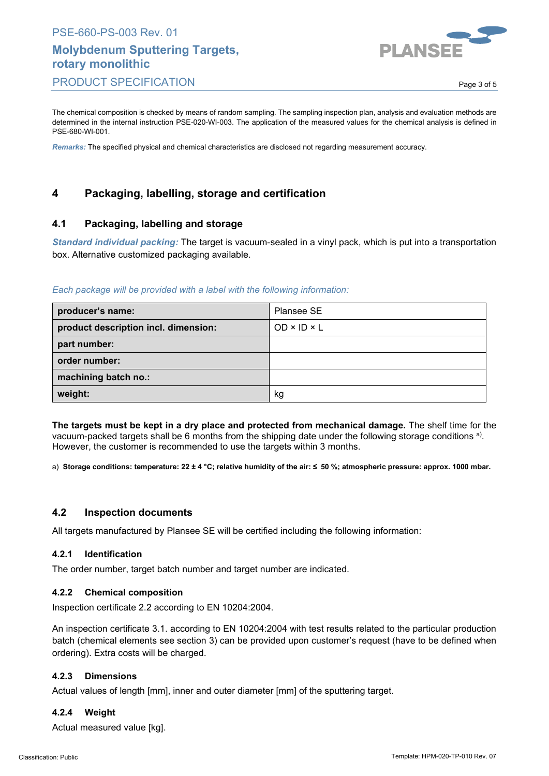

The chemical composition is checked by means of random sampling. The sampling inspection plan, analysis and evaluation methods are determined in the internal instruction PSE-020-WI-003. The application of the measured values for the chemical analysis is defined in PSE-680-WI-001.

*Remarks:* The specified physical and chemical characteristics are disclosed not regarding measurement accuracy.

## **4 Packaging, labelling, storage and certification**

#### **4.1 Packaging, labelling and storage**

*Standard individual packing:* The target is vacuum-sealed in a vinyl pack, which is put into a transportation box. Alternative customized packaging available.

#### *Each package will be provided with a label with the following information:*

| producer's name:                     | Plansee SE              |
|--------------------------------------|-------------------------|
| product description incl. dimension: | $OD \times ID \times L$ |
| part number:                         |                         |
| order number:                        |                         |
| machining batch no.:                 |                         |
| weight:                              | κg                      |

**The targets must be kept in a dry place and protected from mechanical damage.** The shelf time for the vacuum-packed targets shall be 6 months from the shipping date under the following storage conditions a). However, the customer is recommended to use the targets within 3 months.

a) **Storage conditions: temperature: 22 ± 4 °C; relative humidity of the air: ≤ 50 %; atmospheric pressure: approx. 1000 mbar.**

#### **4.2 Inspection documents**

All targets manufactured by Plansee SE will be certified including the following information:

#### **4.2.1 Identification**

The order number, target batch number and target number are indicated.

#### **4.2.2 Chemical composition**

Inspection certificate 2.2 according to EN 10204:2004.

An inspection certificate 3.1. according to EN 10204:2004 with test results related to the particular production batch (chemical elements see section 3) can be provided upon customer's request (have to be defined when ordering). Extra costs will be charged.

#### **4.2.3 Dimensions**

Actual values of length [mm], inner and outer diameter [mm] of the sputtering target.

#### **4.2.4 Weight**

Actual measured value [kg].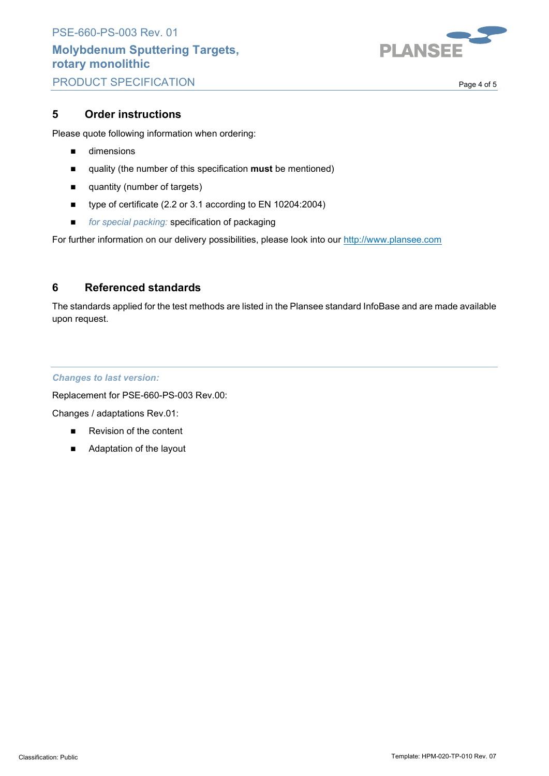

. Page 4 of 5

## **5 Order instructions**

Please quote following information when ordering:

- **dimensions**
- quality (the number of this specification **must** be mentioned)
- **quantity (number of targets)**
- type of certificate (2.2 or 3.1 according to EN 10204:2004)
- *for special packing:* specification of packaging

For further information on our delivery possibilities, please look into our http://www.plansee.com

## **6 Referenced standards**

The standards applied for the test methods are listed in the Plansee standard InfoBase and are made available upon request.

#### *Changes to last version:*

Replacement for PSE-660-PS-003 Rev.00:

Changes / adaptations Rev.01:

- Revision of the content
- Adaptation of the layout